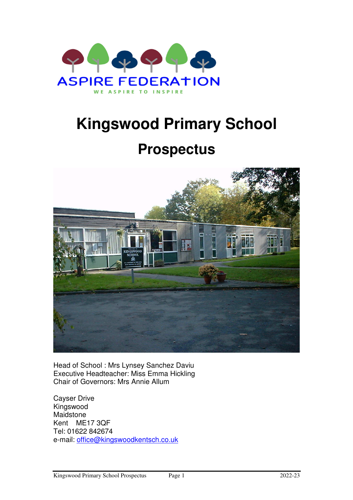

# **Kingswood Primary School**

# **Prospectus**



Head of School : Mrs Lynsey Sanchez Daviu Executive Headteacher: Miss Emma Hickling Chair of Governors: Mrs Annie Allum

Cayser Drive Kingswood Maidstone Kent ME17 3QF Tel: 01622 842674 e-mail: office@kingswoodkentsch.co.uk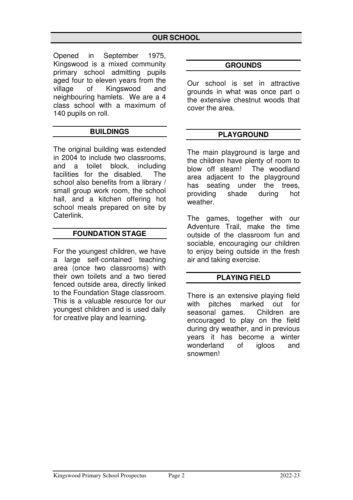Opened in September 1975, Kingswood is a mixed community primary school admitting pupils aged four to eleven years from the village of Kingswood and neighbouring hamlets. We are a 4 class school with a maximum of 140 pupils on roll.

# **BUILDINGS**

The original building was extended in 2004 to include two classrooms, and a toilet block, including facilities for the disabled. The school also benefits from a library / small group work room, the school hall, and a kitchen offering hot school meals prepared on site by Caterlink.

#### **FOUNDATION STAGE**

For the youngest children, we have a large self-contained teaching area (once two classrooms) with their own toilets and a two tiered fenced outside area, directly linked to the Foundation Stage classroom. This is a valuable resource for our youngest children and is used daily for creative play and learning.

#### **GROUNDS**

Our school is set in attractive grounds in what was once part o the extensive chestnut woods that cover the area.

#### **PLAYGROUND**

The main playground is large and the children have plenty of room to blow off steam! The woodland area adjacent to the playground has seating under the trees, providing shade during hot weather.

The games, together with our Adventure Trail, make the time outside of the classroom fun and sociable, encouraging our children to enjoy being outside in the fresh air and taking exercise.

#### **PLAYING FIELD**

There is an extensive playing field with pitches marked out for seasonal games. Children are encouraged to play on the field during dry weather, and in previous years it has become a winter wonderland of igloos and snowmen!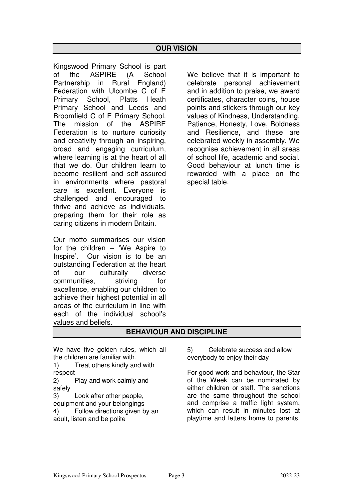Kingswood Primary School is part of the ASPIRE (A School Partnership in Rural England) Federation with Ulcombe C of E Primary School, Platts Heath Primary School and Leeds and Broomfield C of E Primary School. The mission of the ASPIRE Federation is to nurture curiosity and creativity through an inspiring, broad and engaging curriculum, where learning is at the heart of all that we do. Our children learn to become resilient and self-assured in environments where pastoral care is excellent. Everyone is challenged and encouraged to thrive and achieve as individuals, preparing them for their role as caring citizens in modern Britain.

Our motto summarises our vision for the children – 'We Aspire to Inspire'. Our vision is to be an outstanding Federation at the heart of our culturally diverse communities, striving for excellence, enabling our children to achieve their highest potential in all areas of the curriculum in line with each of the individual school's values and beliefs.

We believe that it is important to celebrate personal achievement and in addition to praise, we award certificates, character coins, house points and stickers through our key values of Kindness, Understanding, Patience, Honesty, Love, Boldness and Resilience, and these are celebrated weekly in assembly. We recognise achievement in all areas of school life, academic and social. Good behaviour at lunch time is rewarded with a place on the special table.

# **BEHAVIOUR AND DISCIPLINE**

We have five golden rules, which all the children are familiar with.

1) Treat others kindly and with respect

2) Play and work calmly and safely

3) Look after other people, equipment and your belongings

4) Follow directions given by an adult, listen and be polite

5) Celebrate success and allow everybody to enjoy their day

For good work and behaviour, the Star of the Week can be nominated by either children or staff. The sanctions are the same throughout the school and comprise a traffic light system, which can result in minutes lost at playtime and letters home to parents.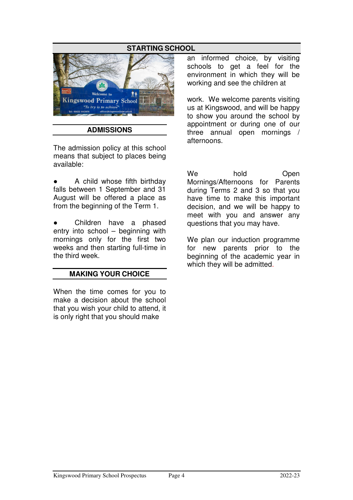# **STARTING SCHOOL**



#### **ADMISSIONS**

The admission policy at this school means that subject to places being available:

A child whose fifth birthday falls between 1 September and 31 August will be offered a place as from the beginning of the Term 1.

Children have a phased entry into school – beginning with mornings only for the first two weeks and then starting full-time in the third week.

#### **MAKING YOUR CHOICE**

When the time comes for you to make a decision about the school that you wish your child to attend, it is only right that you should make

an informed choice, by visiting schools to get a feel for the environment in which they will be working and see the children at

work. We welcome parents visiting us at Kingswood, and will be happy to show you around the school by appointment or during one of our three annual open mornings / afternoons.

We hold Open Mornings/Afternoons for Parents during Terms 2 and 3 so that you have time to make this important decision, and we will be happy to meet with you and answer any questions that you may have.

We plan our induction programme for new parents prior to the beginning of the academic year in which they will be admitted.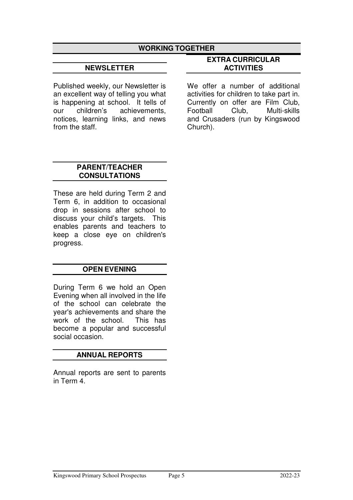#### **WORKING TOGETHER**

#### **NEWSLETTER**

Published weekly, our Newsletter is an excellent way of telling you what is happening at school. It tells of our children's achievements, notices, learning links, and news from the staff.

#### **EXTRA CURRICULAR ACTIVITIES**

We offer a number of additional activities for children to take part in. Currently on offer are Film Club, Football Club, Multi-skills and Crusaders (run by Kingswood Church).

#### **PARENT/TEACHER CONSULTATIONS**

These are held during Term 2 and Term 6, in addition to occasional drop in sessions after school to discuss your child's targets. This enables parents and teachers to keep a close eye on children's progress.

#### **OPEN EVENING**

During Term 6 we hold an Open Evening when all involved in the life of the school can celebrate the year's achievements and share the work of the school. This has become a popular and successful social occasion.

#### **ANNUAL REPORTS**

Annual reports are sent to parents in Term 4.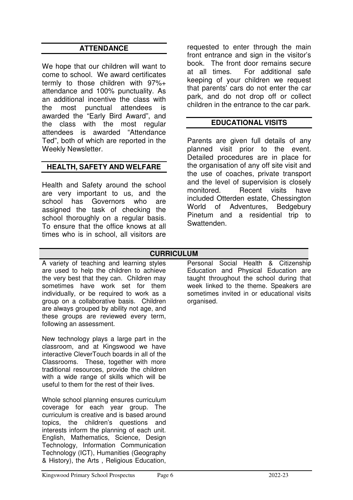# **ATTENDANCE**

We hope that our children will want to come to school. We award certificates termly to those children with 97%+ attendance and 100% punctuality. As an additional incentive the class with the most punctual attendees is awarded the "Early Bird Award", and the class with the most regular attendees is awarded "Attendance Ted", both of which are reported in the Weekly Newsletter.

# **HEALTH, SAFETY AND WELFARE**

Health and Safety around the school are very important to us, and the school has Governors who are assigned the task of checking the school thoroughly on a regular basis. To ensure that the office knows at all times who is in school, all visitors are

requested to enter through the main front entrance and sign in the visitor's book. The front door remains secure at all times. For additional safe keeping of your children we request that parents' cars do not enter the car park, and do not drop off or collect children in the entrance to the car park.

#### **EDUCATIONAL VISITS**

Parents are given full details of any planned visit prior to the event. Detailed procedures are in place for the organisation of any off site visit and the use of coaches, private transport and the level of supervision is closely monitored. **Recent** visits have included Otterden estate, Chessington World of Adventures, Bedgebury Pinetum and a residential trip to Swattenden.

#### **CURRICULUM**

A variety of teaching and learning styles are used to help the children to achieve the very best that they can. Children may sometimes have work set for them individually, or be required to work as a group on a collaborative basis. Children are always grouped by ability not age, and these groups are reviewed every term, following an assessment.

New technology plays a large part in the classroom, and at Kingswood we have interactive CleverTouch boards in all of the Classrooms. These, together with more traditional resources, provide the children with a wide range of skills which will be useful to them for the rest of their lives.

Whole school planning ensures curriculum coverage for each year group. The curriculum is creative and is based around topics, the children's questions and interests inform the planning of each unit. English, Mathematics, Science, Design Technology, Information Communication Technology (ICT), Humanities (Geography & History), the Arts , Religious Education,

Personal Social Health & Citizenship Education and Physical Education are taught throughout the school during that week linked to the theme. Speakers are sometimes invited in or educational visits organised.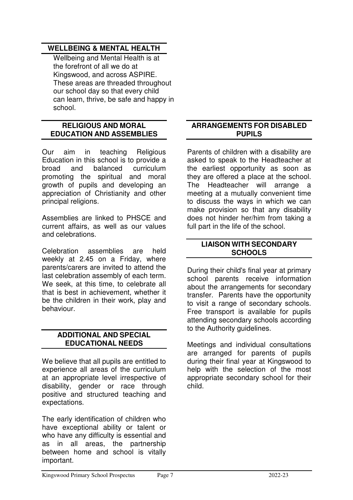#### **WELLBEING & MENTAL HEALTH**

Wellbeing and Mental Health is at the forefront of all we do at Kingswood, and across ASPIRE. These areas are threaded throughout our school day so that every child can learn, thrive, be safe and happy in school.

#### **RELIGIOUS AND MORAL EDUCATION AND ASSEMBLIES**

Our aim in teaching Religious Education in this school is to provide a broad and balanced curriculum promoting the spiritual and moral growth of pupils and developing an appreciation of Christianity and other principal religions.

Assemblies are linked to PHSCE and current affairs, as well as our values and celebrations.

Celebration assemblies are held weekly at 2.45 on a Friday, where parents/carers are invited to attend the last celebration assembly of each term. We seek, at this time, to celebrate all that is best in achievement, whether it be the children in their work, play and behaviour.

#### **ADDITIONAL AND SPECIAL EDUCATIONAL NEEDS**

We believe that all pupils are entitled to experience all areas of the curriculum at an appropriate level irrespective of disability, gender or race through positive and structured teaching and expectations.

The early identification of children who have exceptional ability or talent or who have any difficulty is essential and as in all areas, the partnership between home and school is vitally important.

#### **ARRANGEMENTS FOR DISABLED PUPILS**

Parents of children with a disability are asked to speak to the Headteacher at the earliest opportunity as soon as they are offered a place at the school. The Headteacher will arrange a meeting at a mutually convenient time to discuss the ways in which we can make provision so that any disability does not hinder her/him from taking a full part in the life of the school.

#### **LIAISON WITH SECONDARY SCHOOLS**

During their child's final year at primary school parents receive information about the arrangements for secondary transfer. Parents have the opportunity to visit a range of secondary schools. Free transport is available for pupils attending secondary schools according to the Authority guidelines.

Meetings and individual consultations are arranged for parents of pupils during their final year at Kingswood to help with the selection of the most appropriate secondary school for their child.